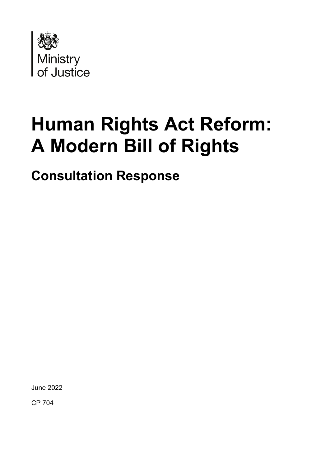

# **Human Rights Act Reform: A Modern Bill of Rights**

**Consultation Response**

June 2022

CP 704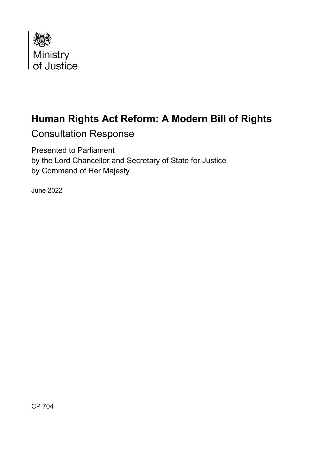

### **Human Rights Act Reform: A Modern Bill of Rights**

Consultation Response

Presented to Parliament by the Lord Chancellor and Secretary of State for Justice by Command of Her Majesty

June 2022

CP 704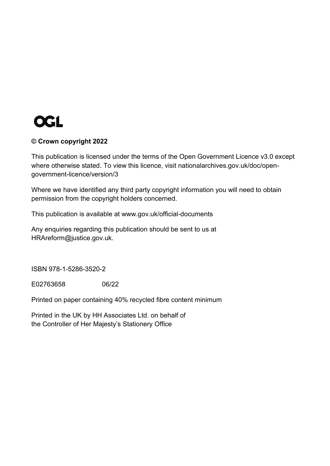

#### **© Crown copyright 2022**

This publication is licensed under the terms of the Open Government Licence v3.0 except where otherwise stated. To view this licence, visit [nationalarchives.gov.uk/doc/open](http://nationalarchives.gov.uk/doc/open-government-licence/version/3/)[government-licence/version/3](http://nationalarchives.gov.uk/doc/open-government-licence/version/3/)

Where we have identified any third party copyright information you will need to obtain permission from the copyright holders concerned.

This publication is available at [www.gov.uk/official-documents](http://www.gov.uk/official-documents)

Any enquiries regarding this publication should be sent to us at [HRAreform@justice.gov.uk.](mailto:HRAreform@justice.gov.uk)

ISBN 978-1-5286-3520-2

E02763658 06/22

Printed on paper containing 40% recycled fibre content minimum

Printed in the UK by HH Associates Ltd. on behalf of the Controller of Her Majesty's Stationery Office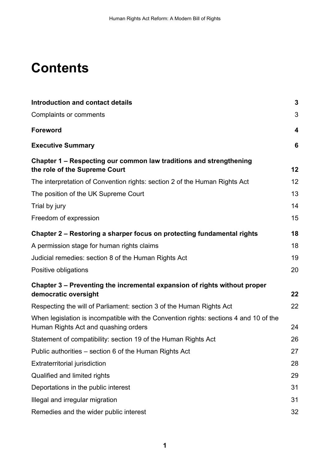## **Contents**

| <b>Introduction and contact details</b>                                                                                       | 3  |
|-------------------------------------------------------------------------------------------------------------------------------|----|
| <b>Complaints or comments</b>                                                                                                 | 3  |
| <b>Foreword</b>                                                                                                               | 4  |
| <b>Executive Summary</b>                                                                                                      | 6  |
| Chapter 1 – Respecting our common law traditions and strengthening<br>the role of the Supreme Court                           | 12 |
| The interpretation of Convention rights: section 2 of the Human Rights Act                                                    | 12 |
| The position of the UK Supreme Court                                                                                          | 13 |
| Trial by jury                                                                                                                 | 14 |
| Freedom of expression                                                                                                         | 15 |
| Chapter 2 – Restoring a sharper focus on protecting fundamental rights                                                        | 18 |
| A permission stage for human rights claims                                                                                    | 18 |
| Judicial remedies: section 8 of the Human Rights Act                                                                          | 19 |
| Positive obligations                                                                                                          | 20 |
| Chapter 3 – Preventing the incremental expansion of rights without proper<br>democratic oversight                             | 22 |
| Respecting the will of Parliament: section 3 of the Human Rights Act                                                          | 22 |
| When legislation is incompatible with the Convention rights: sections 4 and 10 of the<br>Human Rights Act and quashing orders | 24 |
| Statement of compatibility: section 19 of the Human Rights Act                                                                | 26 |
| Public authorities – section 6 of the Human Rights Act                                                                        | 27 |
| <b>Extraterritorial jurisdiction</b>                                                                                          | 28 |
| Qualified and limited rights                                                                                                  | 29 |
| Deportations in the public interest                                                                                           | 31 |
| Illegal and irregular migration                                                                                               | 31 |
| Remedies and the wider public interest                                                                                        | 32 |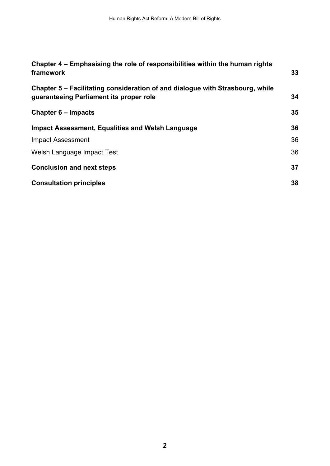| Chapter 4 – Emphasising the role of responsibilities within the human rights<br>framework                                | 33 |
|--------------------------------------------------------------------------------------------------------------------------|----|
| Chapter 5 – Facilitating consideration of and dialogue with Strasbourg, while<br>guaranteeing Parliament its proper role | 34 |
| <b>Chapter 6 – Impacts</b>                                                                                               | 35 |
| <b>Impact Assessment, Equalities and Welsh Language</b>                                                                  | 36 |
| Impact Assessment                                                                                                        | 36 |
| Welsh Language Impact Test                                                                                               | 36 |
| <b>Conclusion and next steps</b>                                                                                         | 37 |
| <b>Consultation principles</b>                                                                                           | 38 |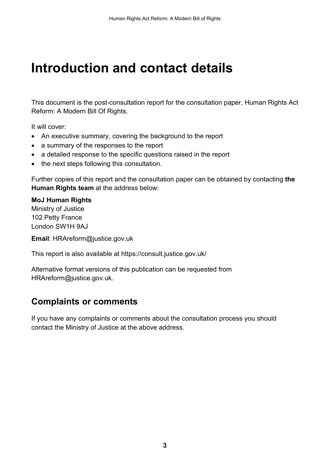## <span id="page-5-0"></span>**Introduction and contact details**

This document is the post-consultation report for the consultation paper, Human Rights Act Reform: A Modern Bill Of Rights.

It will cover:

- An executive summary, covering the background to the report
- a summary of the responses to the report
- a detailed response to the specific questions raised in the report
- the next steps following this consultation.

Further copies of this report and the consultation paper can be obtained by contacting **the Human Rights team** at the address below:

#### **MoJ Human Rights**

Ministry of Justice 102 Petty France London SW1H 9AJ

**Email**: [HRAreform@justice.gov.uk](mailto:HRAreform@justice.gov.uk)

This report is also available at<https://consult.justice.gov.uk/>

Alternative format versions of this publication can be requested from [HRAreform@justice.gov.uk.](mailto:HRAreform@justice.gov.uk)

#### <span id="page-5-1"></span>**Complaints or comments**

If you have any complaints or comments about the consultation process you should contact the Ministry of Justice at the above address.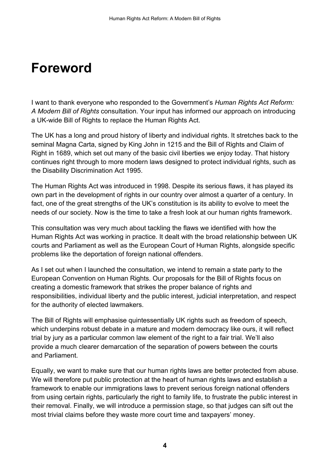### <span id="page-6-0"></span>**Foreword**

I want to thank everyone who responded to the Government's *Human Rights Act Reform: A Modern Bill of Rights* consultation. Your input has informed our approach on introducing a UK-wide Bill of Rights to replace the Human Rights Act.

The UK has a long and proud history of liberty and individual rights. It stretches back to the seminal Magna Carta, signed by King John in 1215 and the Bill of Rights and Claim of Right in 1689, which set out many of the basic civil liberties we enjoy today. That history continues right through to more modern laws designed to protect individual rights, such as the Disability Discrimination Act 1995.

The Human Rights Act was introduced in 1998. Despite its serious flaws, it has played its own part in the development of rights in our country over almost a quarter of a century. In fact, one of the great strengths of the UK's constitution is its ability to evolve to meet the needs of our society. Now is the time to take a fresh look at our human rights framework.

This consultation was very much about tackling the flaws we identified with how the Human Rights Act was working in practice. It dealt with the broad relationship between UK courts and Parliament as well as the European Court of Human Rights, alongside specific problems like the deportation of foreign national offenders.

As I set out when I launched the consultation, we intend to remain a state party to the European Convention on Human Rights. Our proposals for the Bill of Rights focus on creating a domestic framework that strikes the proper balance of rights and responsibilities, individual liberty and the public interest, judicial interpretation, and respect for the authority of elected lawmakers.

The Bill of Rights will emphasise quintessentially UK rights such as freedom of speech, which underpins robust debate in a mature and modern democracy like ours, it will reflect trial by jury as a particular common law element of the right to a fair trial. We'll also provide a much clearer demarcation of the separation of powers between the courts and Parliament.

Equally, we want to make sure that our human rights laws are better protected from abuse. We will therefore put public protection at the heart of human rights laws and establish a framework to enable our immigrations laws to prevent serious foreign national offenders from using certain rights, particularly the right to family life, to frustrate the public interest in their removal. Finally, we will introduce a permission stage, so that judges can sift out the most trivial claims before they waste more court time and taxpayers' money.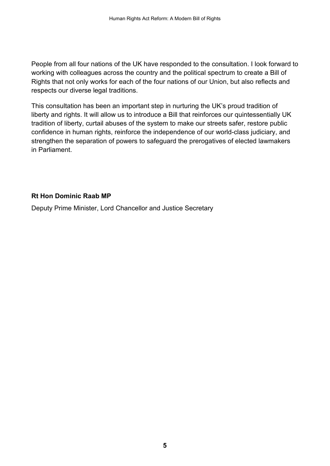People from all four nations of the UK have responded to the consultation. I look forward to working with colleagues across the country and the political spectrum to create a Bill of Rights that not only works for each of the four nations of our Union, but also reflects and respects our diverse legal traditions.

This consultation has been an important step in nurturing the UK's proud tradition of liberty and rights. It will allow us to introduce a Bill that reinforces our quintessentially UK tradition of liberty, curtail abuses of the system to make our streets safer, restore public confidence in human rights, reinforce the independence of our world-class judiciary, and strengthen the separation of powers to safeguard the prerogatives of elected lawmakers in Parliament.

#### **Rt Hon Dominic Raab MP**

Deputy Prime Minister, Lord Chancellor and Justice Secretary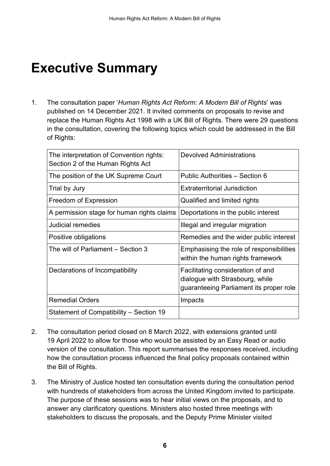## <span id="page-8-0"></span>**Executive Summary**

1. The consultation paper '*Human Rights Act Reform: A Modern Bill of Rights*' was published on 14 December 2021. It invited comments on proposals to revise and replace the Human Rights Act 1998 with a UK Bill of Rights. There were 29 questions in the consultation, covering the following topics which could be addressed in the Bill of Rights:

| The interpretation of Convention rights:<br>Section 2 of the Human Rights Act | <b>Devolved Administrations</b>                                                                                 |
|-------------------------------------------------------------------------------|-----------------------------------------------------------------------------------------------------------------|
| The position of the UK Supreme Court                                          | Public Authorities - Section 6                                                                                  |
| Trial by Jury                                                                 | <b>Extraterritorial Jurisdiction</b>                                                                            |
| <b>Freedom of Expression</b>                                                  | Qualified and limited rights                                                                                    |
| A permission stage for human rights claims                                    | Deportations in the public interest                                                                             |
| Judicial remedies                                                             | Illegal and irregular migration                                                                                 |
| Positive obligations                                                          | Remedies and the wider public interest                                                                          |
| The will of Parliament – Section 3                                            | Emphasising the role of responsibilities<br>within the human rights framework                                   |
| Declarations of Incompatibility                                               | Facilitating consideration of and<br>dialogue with Strasbourg, while<br>guaranteeing Parliament its proper role |
| <b>Remedial Orders</b>                                                        | Impacts                                                                                                         |
| Statement of Compatibility – Section 19                                       |                                                                                                                 |

- 2. The consultation period closed on 8 March 2022, with extensions granted until 19 April 2022 to allow for those who would be assisted by an Easy Read or audio version of the consultation. This report summarises the responses received, including how the consultation process influenced the final policy proposals contained within the Bill of Rights.
- 3. The Ministry of Justice hosted ten consultation events during the consultation period with hundreds of stakeholders from across the United Kingdom invited to participate. The purpose of these sessions was to hear initial views on the proposals, and to answer any clarificatory questions. Ministers also hosted three meetings with stakeholders to discuss the proposals, and the Deputy Prime Minister visited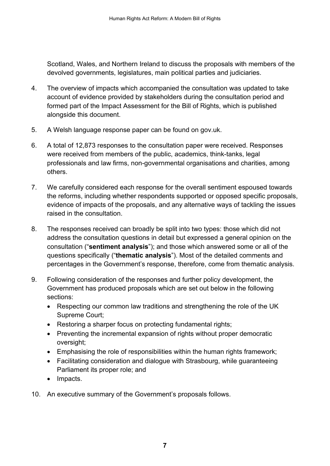Scotland, Wales, and Northern Ireland to discuss the proposals with members of the devolved governments, legislatures, main political parties and judiciaries.

- 4. The overview of impacts which accompanied the consultation was updated to take account of evidence provided by stakeholders during the consultation period and formed part of the Impact Assessment for the Bill of Rights, which is published alongside this document.
- 5. A Welsh language response paper can be found on gov.uk.
- 6. A total of 12,873 responses to the consultation paper were received. Responses were received from members of the public, academics, think-tanks, legal professionals and law firms, non-governmental organisations and charities, among others.
- 7. We carefully considered each response for the overall sentiment espoused towards the reforms, including whether respondents supported or opposed specific proposals, evidence of impacts of the proposals, and any alternative ways of tackling the issues raised in the consultation.
- 8. The responses received can broadly be split into two types: those which did not address the consultation questions in detail but expressed a general opinion on the consultation ("**sentiment analysis**"); and those which answered some or all of the questions specifically ("**thematic analysis**"). Most of the detailed comments and percentages in the Government's response, therefore, come from thematic analysis.
- 9. Following consideration of the responses and further policy development, the Government has produced proposals which are set out below in the following sections:
	- Respecting our common law traditions and strengthening the role of the UK Supreme Court;
	- Restoring a sharper focus on protecting fundamental rights;
	- Preventing the incremental expansion of rights without proper democratic oversight;
	- Emphasising the role of responsibilities within the human rights framework;
	- Facilitating consideration and dialogue with Strasbourg, while guaranteeing Parliament its proper role; and
	- Impacts.
- 10. An executive summary of the Government's proposals follows.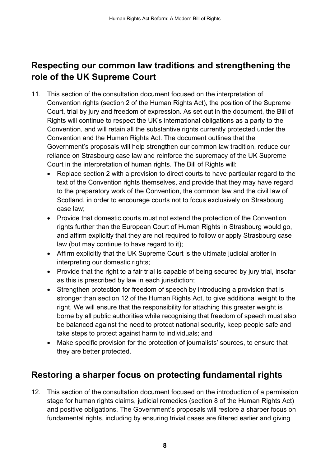### **Respecting our common law traditions and strengthening the role of the UK Supreme Court**

- 11. This section of the consultation document focused on the interpretation of Convention rights (section 2 of the Human Rights Act), the position of the Supreme Court, trial by jury and freedom of expression. As set out in the document, the Bill of Rights will continue to respect the UK's international obligations as a party to the Convention, and will retain all the substantive rights currently protected under the Convention and the Human Rights Act. The document outlines that the Government's proposals will help strengthen our common law tradition, reduce our reliance on Strasbourg case law and reinforce the supremacy of the UK Supreme Court in the interpretation of human rights. The Bill of Rights will:
	- Replace section 2 with a provision to direct courts to have particular regard to the text of the Convention rights themselves, and provide that they may have regard to the preparatory work of the Convention, the common law and the civil law of Scotland, in order to encourage courts not to focus exclusively on Strasbourg case law;
	- Provide that domestic courts must not extend the protection of the Convention rights further than the European Court of Human Rights in Strasbourg would go, and affirm explicitly that they are not required to follow or apply Strasbourg case law (but may continue to have regard to it);
	- Affirm explicitly that the UK Supreme Court is the ultimate judicial arbiter in interpreting our domestic rights;
	- Provide that the right to a fair trial is capable of being secured by jury trial, insofar as this is prescribed by law in each jurisdiction;
	- Strengthen protection for freedom of speech by introducing a provision that is stronger than section 12 of the Human Rights Act, to give additional weight to the right. We will ensure that the responsibility for attaching this greater weight is borne by all public authorities while recognising that freedom of speech must also be balanced against the need to protect national security, keep people safe and take steps to protect against harm to individuals; and
	- Make specific provision for the protection of journalists' sources, to ensure that they are better protected.

### **Restoring a sharper focus on protecting fundamental rights**

12. This section of the consultation document focused on the introduction of a permission stage for human rights claims, judicial remedies (section 8 of the Human Rights Act) and positive obligations. The Government's proposals will restore a sharper focus on fundamental rights, including by ensuring trivial cases are filtered earlier and giving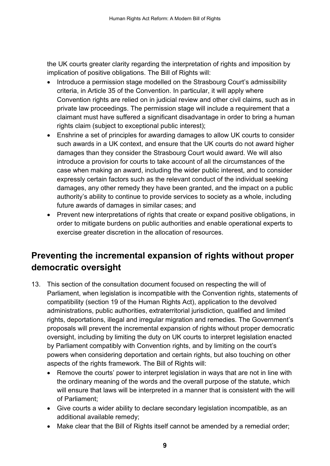the UK courts greater clarity regarding the interpretation of rights and imposition by implication of positive obligations. The Bill of Rights will:

- Introduce a permission stage modelled on the Strasbourg Court's admissibility criteria, in Article 35 of the Convention. In particular, it will apply where Convention rights are relied on in judicial review and other civil claims, such as in private law proceedings. The permission stage will include a requirement that a claimant must have suffered a significant disadvantage in order to bring a human rights claim (subject to exceptional public interest);
- Enshrine a set of principles for awarding damages to allow UK courts to consider such awards in a UK context, and ensure that the UK courts do not award higher damages than they consider the Strasbourg Court would award. We will also introduce a provision for courts to take account of all the circumstances of the case when making an award, including the wider public interest, and to consider expressly certain factors such as the relevant conduct of the individual seeking damages, any other remedy they have been granted, and the impact on a public authority's ability to continue to provide services to society as a whole, including future awards of damages in similar cases; and
- Prevent new interpretations of rights that create or expand positive obligations, in order to mitigate burdens on public authorities and enable operational experts to exercise greater discretion in the allocation of resources.

### **Preventing the incremental expansion of rights without proper democratic oversight**

- 13. This section of the consultation document focused on respecting the will of Parliament, when legislation is incompatible with the Convention rights, statements of compatibility (section 19 of the Human Rights Act), application to the devolved administrations, public authorities, extraterritorial jurisdiction, qualified and limited rights, deportations, illegal and irregular migration and remedies. The Government's proposals will prevent the incremental expansion of rights without proper democratic oversight, including by limiting the duty on UK courts to interpret legislation enacted by Parliament compatibly with Convention rights, and by limiting on the court's powers when considering deportation and certain rights, but also touching on other aspects of the rights framework. The Bill of Rights will:
	- Remove the courts' power to interpret legislation in ways that are not in line with the ordinary meaning of the words and the overall purpose of the statute, which will ensure that laws will be interpreted in a manner that is consistent with the will of Parliament;
	- Give courts a wider ability to declare secondary legislation incompatible, as an additional available remedy;
	- Make clear that the Bill of Rights itself cannot be amended by a remedial order;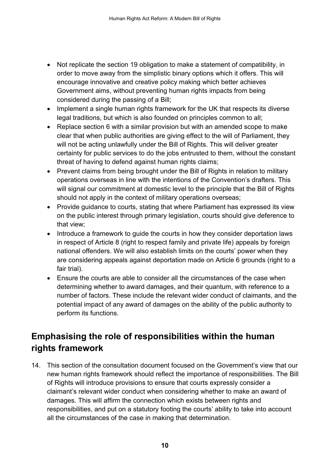- Not replicate the section 19 obligation to make a statement of compatibility, in order to move away from the simplistic binary options which it offers. This will encourage innovative and creative policy making which better achieves Government aims, without preventing human rights impacts from being considered during the passing of a Bill;
- Implement a single human rights framework for the UK that respects its diverse legal traditions, but which is also founded on principles common to all;
- Replace section 6 with a similar provision but with an amended scope to make clear that when public authorities are giving effect to the will of Parliament, they will not be acting unlawfully under the Bill of Rights. This will deliver greater certainty for public services to do the jobs entrusted to them, without the constant threat of having to defend against human rights claims;
- Prevent claims from being brought under the Bill of Rights in relation to military operations overseas in line with the intentions of the Convention's drafters. This will signal our commitment at domestic level to the principle that the Bill of Rights should not apply in the context of military operations overseas;
- Provide guidance to courts, stating that where Parliament has expressed its view on the public interest through primary legislation, courts should give deference to that view;
- Introduce a framework to guide the courts in how they consider deportation laws in respect of Article 8 (right to respect family and private life) appeals by foreign national offenders. We will also establish limits on the courts' power when they are considering appeals against deportation made on Article 6 grounds (right to a fair trial).
- Ensure the courts are able to consider all the circumstances of the case when determining whether to award damages, and their quantum, with reference to a number of factors. These include the relevant wider conduct of claimants, and the potential impact of any award of damages on the ability of the public authority to perform its functions.

### **Emphasising the role of responsibilities within the human rights framework**

14. This section of the consultation document focused on the Government's view that our new human rights framework should reflect the importance of responsibilities. The Bill of Rights will introduce provisions to ensure that courts expressly consider a claimant's relevant wider conduct when considering whether to make an award of damages. This will affirm the connection which exists between rights and responsibilities, and put on a statutory footing the courts' ability to take into account all the circumstances of the case in making that determination.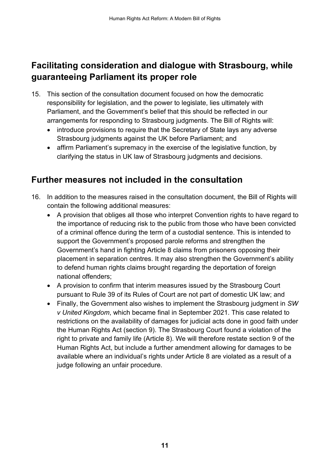### **Facilitating consideration and dialogue with Strasbourg, while guaranteeing Parliament its proper role**

- 15. This section of the consultation document focused on how the democratic responsibility for legislation, and the power to legislate, lies ultimately with Parliament, and the Government's belief that this should be reflected in our arrangements for responding to Strasbourg judgments. The Bill of Rights will:
	- introduce provisions to require that the Secretary of State lays any adverse Strasbourg judgments against the UK before Parliament; and
	- affirm Parliament's supremacy in the exercise of the legislative function, by clarifying the status in UK law of Strasbourg judgments and decisions.

#### **Further measures not included in the consultation**

- 16. In addition to the measures raised in the consultation document, the Bill of Rights will contain the following additional measures:
	- A provision that obliges all those who interpret Convention rights to have regard to the importance of reducing risk to the public from those who have been convicted of a criminal offence during the term of a custodial sentence. This is intended to support the Government's proposed parole reforms and strengthen the Government's hand in fighting Article 8 claims from prisoners opposing their placement in separation centres. It may also strengthen the Government's ability to defend human rights claims brought regarding the deportation of foreign national offenders;
	- A provision to confirm that interim measures issued by the Strasbourg Court pursuant to Rule 39 of its Rules of Court are not part of domestic UK law; and
	- Finally, the Government also wishes to implement the Strasbourg judgment in *SW v United Kingdom*, which became final in September 2021. This case related to restrictions on the availability of damages for judicial acts done in good faith under the Human Rights Act (section 9). The Strasbourg Court found a violation of the right to private and family life (Article 8). We will therefore restate section 9 of the Human Rights Act, but include a further amendment allowing for damages to be available where an individual's rights under Article 8 are violated as a result of a judge following an unfair procedure.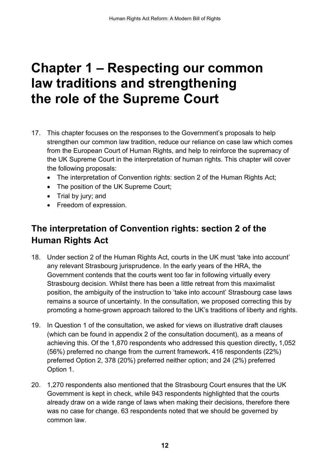### <span id="page-14-0"></span>**Chapter 1 – Respecting our common law traditions and strengthening the role of the Supreme Court**

- 17. This chapter focuses on the responses to the Government's proposals to help strengthen our common law tradition, reduce our reliance on case law which comes from the European Court of Human Rights, and help to reinforce the supremacy of the UK Supreme Court in the interpretation of human rights. This chapter will cover the following proposals:
	- The interpretation of Convention rights: section 2 of the Human Rights Act;
	- The position of the UK Supreme Court;
	- Trial by jury; and
	- Freedom of expression.

### <span id="page-14-1"></span>**The interpretation of Convention rights: section 2 of the Human Rights Act**

- 18. Under section 2 of the Human Rights Act, courts in the UK must 'take into account' any relevant Strasbourg jurisprudence. In the early years of the HRA, the Government contends that the courts went too far in following virtually every Strasbourg decision. Whilst there has been a little retreat from this maximalist position, the ambiguity of the instruction to 'take into account' Strasbourg case laws remains a source of uncertainty. In the consultation, we proposed correcting this by promoting a home-grown approach tailored to the UK's traditions of liberty and rights.
- 19. In Question 1 of the consultation, we asked for views on illustrative draft clauses (which can be found in appendix 2 of the consultation document), as a means of achieving this. Of the 1,870 respondents who addressed this question directly**,** 1,052 (56%) preferred no change from the current framework**.** 416 respondents (22%) preferred Option 2, 378 (20%) preferred neither option; and 24 (2%) preferred Option 1.
- 20. 1,270 respondents also mentioned that the Strasbourg Court ensures that the UK Government is kept in check, while 943 respondents highlighted that the courts already draw on a wide range of laws when making their decisions, therefore there was no case for change. 63 respondents noted that we should be governed by common law.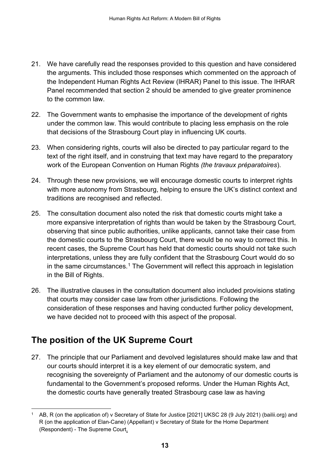- 21. We have carefully read the responses provided to this question and have considered the arguments. This included those responses which commented on the approach of the Independent Human Rights Act Review (IHRAR) Panel to this issue. The IHRAR Panel recommended that section 2 should be amended to give greater prominence to the common law.
- 22. The Government wants to emphasise the importance of the development of rights under the common law. This would contribute to placing less emphasis on the role that decisions of the Strasbourg Court play in influencing UK courts.
- 23. When considering rights, courts will also be directed to pay particular regard to the text of the right itself, and in construing that text may have regard to the preparatory work of the European Convention on Human Rights *(the travaux préparatoires*).
- 24. Through these new provisions, we will encourage domestic courts to interpret rights with more autonomy from Strasbourg, helping to ensure the UK's distinct context and traditions are recognised and reflected.
- 25. The consultation document also noted the risk that domestic courts might take a more expansive interpretation of rights than would be taken by the Strasbourg Court, observing that since public authorities, unlike applicants, cannot take their case from the domestic courts to the Strasbourg Court, there would be no way to correct this. In recent cases, the Supreme Court has held that domestic courts should not take such interpretations, unless they are fully confident that the Strasbourg Court would do so in the same circumstances. [1](#page-15-1) The Government will reflect this approach in legislation in the Bill of Rights.
- 26. The illustrative clauses in the consultation document also included provisions stating that courts may consider case law from other jurisdictions. Following the consideration of these responses and having conducted further policy development, we have decided not to proceed with this aspect of the proposal.

### <span id="page-15-0"></span>**The position of the UK Supreme Court**

27. The principle that our Parliament and devolved legislatures should make law and that our courts should interpret it is a key element of our democratic system, and recognising the sovereignty of Parliament and the autonomy of our domestic courts is fundamental to the Government's proposed reforms. Under the Human Rights Act, the domestic courts have generally treated Strasbourg case law as having

<span id="page-15-1"></span><sup>&</sup>lt;sup>1</sup> [AB, R \(on the application of\) v Secretary of State for Justice \[2021\] UKSC 28 \(9 July 2021\) \(bailii.org\)](https://www.bailii.org/uk/cases/UKSC/2021/28.html) and [R \(on the application of Elan-Cane\) \(Appellant\) v Secretary of State for the Home Department](https://www.supremecourt.uk/cases/uksc-2020-0081.html)  (Respondent) - [The Supreme Court.](https://www.supremecourt.uk/cases/uksc-2020-0081.html)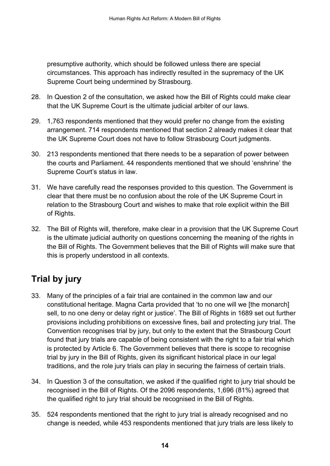presumptive authority, which should be followed unless there are special circumstances. This approach has indirectly resulted in the supremacy of the UK Supreme Court being undermined by Strasbourg.

- 28. In Question 2 of the consultation, we asked how the Bill of Rights could make clear that the UK Supreme Court is the ultimate judicial arbiter of our laws.
- 29. 1,763 respondents mentioned that they would prefer no change from the existing arrangement. 714 respondents mentioned that section 2 already makes it clear that the UK Supreme Court does not have to follow Strasbourg Court judgments.
- 30. 213 respondents mentioned that there needs to be a separation of power between the courts and Parliament. 44 respondents mentioned that we should 'enshrine' the Supreme Court's status in law.
- 31. We have carefully read the responses provided to this question. The Government is clear that there must be no confusion about the role of the UK Supreme Court in relation to the Strasbourg Court and wishes to make that role explicit within the Bill of Rights.
- 32. The Bill of Rights will, therefore, make clear in a provision that the UK Supreme Court is the ultimate judicial authority on questions concerning the meaning of the rights in the Bill of Rights. The Government believes that the Bill of Rights will make sure that this is properly understood in all contexts.

### <span id="page-16-0"></span>**Trial by jury**

- 33. Many of the principles of a fair trial are contained in the common law and our constitutional heritage. Magna Carta provided that 'to no one will we [the monarch] sell, to no one deny or delay right or justice'. The Bill of Rights in 1689 set out further provisions including prohibitions on excessive fines, bail and protecting jury trial. The Convention recognises trial by jury, but only to the extent that the Strasbourg Court found that jury trials are capable of being consistent with the right to a fair trial which is protected by Article 6. The Government believes that there is scope to recognise trial by jury in the Bill of Rights, given its significant historical place in our legal traditions, and the role jury trials can play in securing the fairness of certain trials.
- 34. In Question 3 of the consultation, we asked if the qualified right to jury trial should be recognised in the Bill of Rights. Of the 2096 respondents, 1,696 (81%) agreed that the qualified right to jury trial should be recognised in the Bill of Rights.
- 35. 524 respondents mentioned that the right to jury trial is already recognised and no change is needed, while 453 respondents mentioned that jury trials are less likely to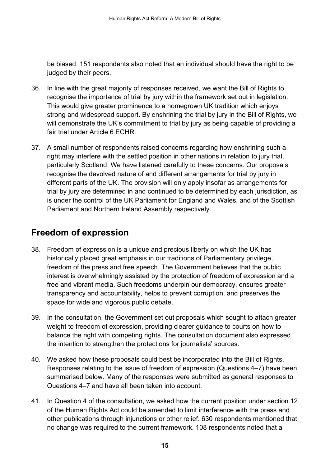be biased. 151 respondents also noted that an individual should have the right to be judged by their peers.

- 36. In line with the great majority of responses received, we want the Bill of Rights to recognise the importance of trial by jury within the framework set out in legislation. This would give greater prominence to a homegrown UK tradition which enjoys strong and widespread support. By enshrining the trial by jury in the Bill of Rights, we will demonstrate the UK's commitment to trial by jury as being capable of providing a fair trial under Article 6 ECHR.
- 37. A small number of respondents raised concerns regarding how enshrining such a right may interfere with the settled position in other nations in relation to jury trial, particularly Scotland. We have listened carefully to these concerns. Our proposals recognise the devolved nature of and different arrangements for trial by jury in different parts of the UK. The provision will only apply insofar as arrangements for trial by jury are determined in and continued to be determined by each jurisdiction, as is under the control of the UK Parliament for England and Wales, and of the Scottish Parliament and Northern Ireland Assembly respectively.

### <span id="page-17-0"></span>**Freedom of expression**

- 38. Freedom of expression is a unique and precious liberty on which the UK has historically placed great emphasis in our traditions of Parliamentary privilege, freedom of the press and free speech. The Government believes that the public interest is overwhelmingly assisted by the protection of freedom of expression and a free and vibrant media. Such freedoms underpin our democracy, ensures greater transparency and accountability, helps to prevent corruption, and preserves the space for wide and vigorous public debate.
- 39. In the consultation, the Government set out proposals which sought to attach greater weight to freedom of expression, providing clearer guidance to courts on how to balance the right with competing rights. The consultation document also expressed the intention to strengthen the protections for journalists' sources.
- 40. We asked how these proposals could best be incorporated into the Bill of Rights. Responses relating to the issue of freedom of expression (Questions 4–7) have been summarised below. Many of the responses were submitted as general responses to Questions 4–7 and have all been taken into account.
- 41. In Question 4 of the consultation, we asked how the current position under section 12 of the Human Rights Act could be amended to limit interference with the press and other publications through injunctions or other relief. 630 respondents mentioned that no change was required to the current framework. 108 respondents noted that a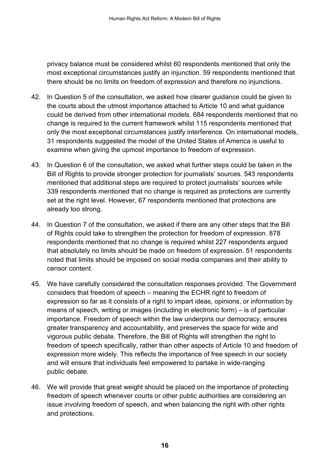privacy balance must be considered whilst 60 respondents mentioned that only the most exceptional circumstances justify an injunction. 59 respondents mentioned that there should be no limits on freedom of expression and therefore no injunctions.

- 42. In Question 5 of the consultation, we asked how clearer guidance could be given to the courts about the utmost importance attached to Article 10 and what guidance could be derived from other international models. 684 respondents mentioned that no change is required to the current framework whilst 115 respondents mentioned that only the most exceptional circumstances justify interference. On international models, 31 respondents suggested the model of the United States of America is useful to examine when giving the upmost importance to freedom of expression.
- 43. In Question 6 of the consultation, we asked what further steps could be taken in the Bill of Rights to provide stronger protection for journalists' sources. 543 respondents mentioned that additional steps are required to protect journalists' sources while 339 respondents mentioned that no change is required as protections are currently set at the right level. However, 67 respondents mentioned that protections are already too strong.
- 44. In Question 7 of the consultation, we asked if there are any other steps that the Bill of Rights could take to strengthen the protection for freedom of expression. 878 respondents mentioned that no change is required whilst 227 respondents argued that absolutely no limits should be made on freedom of expression. 51 respondents noted that limits should be imposed on social media companies and their ability to censor content.
- 45. We have carefully considered the consultation responses provided. The Government considers that freedom of speech – meaning the ECHR right to freedom of expression so far as it consists of a right to impart ideas, opinions, or information by means of speech, writing or images (including in electronic form) – is of particular importance. Freedom of speech within the law underpins our democracy, ensures greater transparency and accountability, and preserves the space for wide and vigorous public debate. Therefore, the Bill of Rights will strengthen the right to freedom of speech specifically, rather than other aspects of Article 10 and freedom of expression more widely. This reflects the importance of free speech in our society and will ensure that individuals feel empowered to partake in wide-ranging public debate.
- 46. We will provide that great weight should be placed on the importance of protecting freedom of speech whenever courts or other public authorities are considering an issue involving freedom of speech, and when balancing the right with other rights and protections.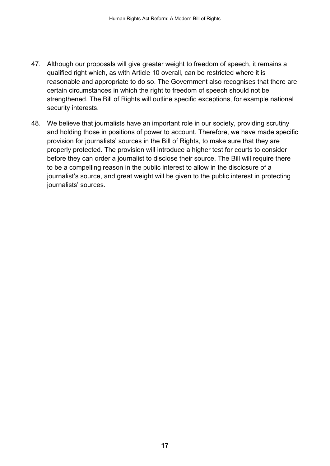- 47. Although our proposals will give greater weight to freedom of speech, it remains a qualified right which, as with Article 10 overall, can be restricted where it is reasonable and appropriate to do so. The Government also recognises that there are certain circumstances in which the right to freedom of speech should not be strengthened. The Bill of Rights will outline specific exceptions, for example national security interests.
- 48. We believe that journalists have an important role in our society, providing scrutiny and holding those in positions of power to account. Therefore, we have made specific provision for journalists' sources in the Bill of Rights, to make sure that they are properly protected. The provision will introduce a higher test for courts to consider before they can order a journalist to disclose their source. The Bill will require there to be a compelling reason in the public interest to allow in the disclosure of a journalist's source, and great weight will be given to the public interest in protecting journalists' sources.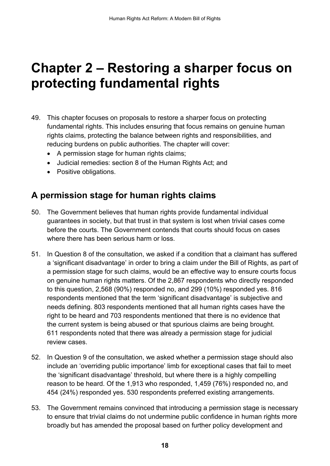## <span id="page-20-0"></span>**Chapter 2 – Restoring a sharper focus on protecting fundamental rights**

- 49. This chapter focuses on proposals to restore a sharper focus on protecting fundamental rights. This includes ensuring that focus remains on genuine human rights claims, protecting the balance between rights and responsibilities, and reducing burdens on public authorities. The chapter will cover:
	- A permission stage for human rights claims;
	- Judicial remedies: section 8 of the Human Rights Act; and
	- Positive obligations.

#### <span id="page-20-1"></span>**A permission stage for human rights claims**

- 50. The Government believes that human rights provide fundamental individual guarantees in society, but that trust in that system is lost when trivial cases come before the courts. The Government contends that courts should focus on cases where there has been serious harm or loss.
- 51. In Question 8 of the consultation, we asked if a condition that a claimant has suffered a 'significant disadvantage' in order to bring a claim under the Bill of Rights, as part of a permission stage for such claims, would be an effective way to ensure courts focus on genuine human rights matters. Of the 2,867 respondents who directly responded to this question, 2,568 (90%) responded no, and 299 (10%) responded yes. 816 respondents mentioned that the term 'significant disadvantage' is subjective and needs defining. 803 respondents mentioned that all human rights cases have the right to be heard and 703 respondents mentioned that there is no evidence that the current system is being abused or that spurious claims are being brought. 611 respondents noted that there was already a permission stage for judicial review cases.
- 52. In Question 9 of the consultation, we asked whether a permission stage should also include an 'overriding public importance' limb for exceptional cases that fail to meet the 'significant disadvantage' threshold, but where there is a highly compelling reason to be heard. Of the 1,913 who responded, 1,459 (76%) responded no, and 454 (24%) responded yes. 530 respondents preferred existing arrangements.
- 53. The Government remains convinced that introducing a permission stage is necessary to ensure that trivial claims do not undermine public confidence in human rights more broadly but has amended the proposal based on further policy development and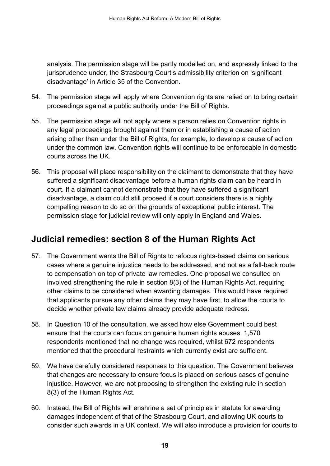analysis. The permission stage will be partly modelled on, and expressly linked to the jurisprudence under, the Strasbourg Court's admissibility criterion on 'significant disadvantage' in Article 35 of the Convention.

- 54. The permission stage will apply where Convention rights are relied on to bring certain proceedings against a public authority under the Bill of Rights.
- 55. The permission stage will not apply where a person relies on Convention rights in any legal proceedings brought against them or in establishing a cause of action arising other than under the Bill of Rights, for example, to develop a cause of action under the common law. Convention rights will continue to be enforceable in domestic courts across the UK.
- 56. This proposal will place responsibility on the claimant to demonstrate that they have suffered a significant disadvantage before a human rights claim can be heard in court. If a claimant cannot demonstrate that they have suffered a significant disadvantage, a claim could still proceed if a court considers there is a highly compelling reason to do so on the grounds of exceptional public interest. The permission stage for judicial review will only apply in England and Wales.

### <span id="page-21-0"></span>**Judicial remedies: section 8 of the Human Rights Act**

- 57. The Government wants the Bill of Rights to refocus rights-based claims on serious cases where a genuine injustice needs to be addressed, and not as a fall-back route to compensation on top of private law remedies. One proposal we consulted on involved strengthening the rule in section 8(3) of the Human Rights Act, requiring other claims to be considered when awarding damages. This would have required that applicants pursue any other claims they may have first, to allow the courts to decide whether private law claims already provide adequate redress.
- 58. In Question 10 of the consultation, we asked how else Government could best ensure that the courts can focus on genuine human rights abuses. 1,570 respondents mentioned that no change was required, whilst 672 respondents mentioned that the procedural restraints which currently exist are sufficient.
- 59. We have carefully considered responses to this question. The Government believes that changes are necessary to ensure focus is placed on serious cases of genuine injustice. However, we are not proposing to strengthen the existing rule in section 8(3) of the Human Rights Act.
- 60. Instead, the Bill of Rights will enshrine a set of principles in statute for awarding damages independent of that of the Strasbourg Court, and allowing UK courts to consider such awards in a UK context. We will also introduce a provision for courts to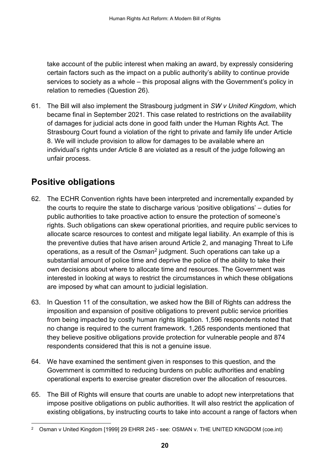take account of the public interest when making an award, by expressly considering certain factors such as the impact on a public authority's ability to continue provide services to society as a whole – this proposal aligns with the Government's policy in relation to remedies (Question 26).

61. The Bill will also implement the Strasbourg judgment in *SW v United Kingdom*, which became final in September 2021. This case related to restrictions on the availability of damages for judicial acts done in good faith under the Human Rights Act. The Strasbourg Court found a violation of the right to private and family life under Article 8. We will include provision to allow for damages to be available where an individual's rights under Article 8 are violated as a result of the judge following an unfair process.

### <span id="page-22-0"></span>**Positive obligations**

- 62. The ECHR Convention rights have been interpreted and incrementally expanded by the courts to require the state to discharge various 'positive obligations' – duties for public authorities to take proactive action to ensure the protection of someone's rights. Such obligations can skew operational priorities, and require public services to allocate scarce resources to contest and mitigate legal liability. An example of this is the preventive duties that have arisen around Article 2, and managing Threat to Life operations, as a result of the *Osman*[2](#page-22-1) judgment. Such operations can take up a substantial amount of police time and deprive the police of the ability to take their own decisions about where to allocate time and resources. The Government was interested in looking at ways to restrict the circumstances in which these obligations are imposed by what can amount to judicial legislation.
- 63. In Question 11 of the consultation, we asked how the Bill of Rights can address the imposition and expansion of positive obligations to prevent public service priorities from being impacted by costly human rights litigation. 1,596 respondents noted that no change is required to the current framework. 1,265 respondents mentioned that they believe positive obligations provide protection for vulnerable people and 874 respondents considered that this is not a genuine issue.
- 64. We have examined the sentiment given in responses to this question, and the Government is committed to reducing burdens on public authorities and enabling operational experts to exercise greater discretion over the allocation of resources.
- 65. The Bill of Rights will ensure that courts are unable to adopt new interpretations that impose positive obligations on public authorities. It will also restrict the application of existing obligations, by instructing courts to take into account a range of factors when

<span id="page-22-1"></span><sup>&</sup>lt;sup>2</sup> Osman v United Kingdom [1999] 29 EHRR 245 - see: [OSMAN v. THE UNITED KINGDOM \(coe.int\)](https://hudoc.echr.coe.int/fre#%7B%22itemid%22:%5B%22001-58257%22%5D%7D)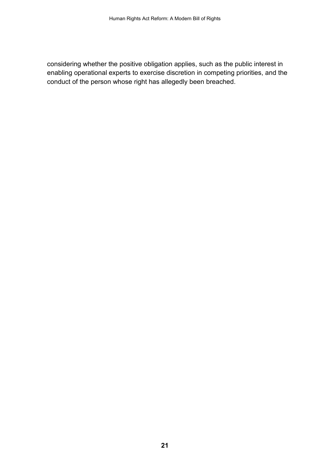considering whether the positive obligation applies, such as the public interest in enabling operational experts to exercise discretion in competing priorities, and the conduct of the person whose right has allegedly been breached.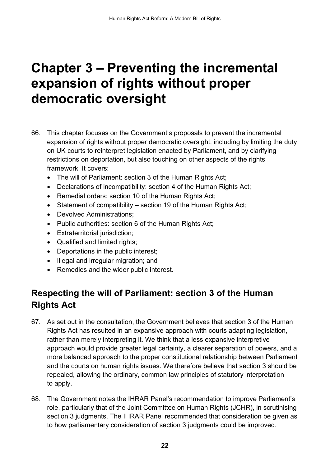### <span id="page-24-0"></span>**Chapter 3 – Preventing the incremental expansion of rights without proper democratic oversight**

- 66. This chapter focuses on the Government's proposals to prevent the incremental expansion of rights without proper democratic oversight, including by limiting the duty on UK courts to reinterpret legislation enacted by Parliament, and by clarifying restrictions on deportation, but also touching on other aspects of the rights framework. It covers:
	- The will of Parliament: section 3 of the Human Rights Act;
	- Declarations of incompatibility: section 4 of the Human Rights Act;
	- Remedial orders: section 10 of the Human Rights Act;
	- Statement of compatibility section 19 of the Human Rights Act;
	- Devolved Administrations;
	- Public authorities: section 6 of the Human Rights Act;
	- Extraterritorial jurisdiction;
	- Qualified and limited rights;
	- Deportations in the public interest;
	- Illegal and irregular migration; and
	- Remedies and the wider public interest.

### <span id="page-24-1"></span>**Respecting the will of Parliament: section 3 of the Human Rights Act**

- 67. As set out in the consultation, the Government believes that section 3 of the Human Rights Act has resulted in an expansive approach with courts adapting legislation, rather than merely interpreting it. We think that a less expansive interpretive approach would provide greater legal certainty, a clearer separation of powers, and a more balanced approach to the proper constitutional relationship between Parliament and the courts on human rights issues. We therefore believe that section 3 should be repealed, allowing the ordinary, common law principles of statutory interpretation to apply.
- 68. The Government notes the IHRAR Panel's recommendation to improve Parliament's role, particularly that of the Joint Committee on Human Rights (JCHR), in scrutinising section 3 judgments. The IHRAR Panel recommended that consideration be given as to how parliamentary consideration of section 3 judgments could be improved.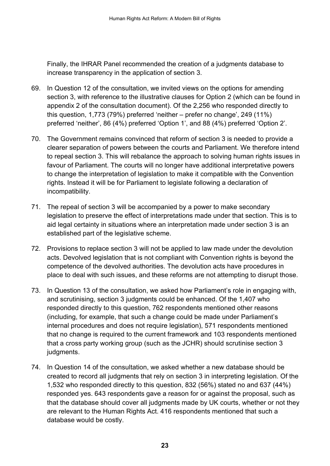Finally, the IHRAR Panel recommended the creation of a judgments database to increase transparency in the application of section 3.

- 69. In Question 12 of the consultation, we invited views on the options for amending section 3, with reference to the illustrative clauses for Option 2 (which can be found in appendix 2 of the consultation document). Of the 2,256 who responded directly to this question, 1,773 (79%) preferred 'neither – prefer no change', 249 (11%) preferred 'neither', 86 (4%) preferred 'Option 1', and 88 (4%) preferred 'Option 2'.
- 70. The Government remains convinced that reform of section 3 is needed to provide a clearer separation of powers between the courts and Parliament. We therefore intend to repeal section 3. This will rebalance the approach to solving human rights issues in favour of Parliament. The courts will no longer have additional interpretative powers to change the interpretation of legislation to make it compatible with the Convention rights. Instead it will be for Parliament to legislate following a declaration of incompatibility.
- 71. The repeal of section 3 will be accompanied by a power to make secondary legislation to preserve the effect of interpretations made under that section. This is to aid legal certainty in situations where an interpretation made under section 3 is an established part of the legislative scheme.
- 72. Provisions to replace section 3 will not be applied to law made under the devolution acts. Devolved legislation that is not compliant with Convention rights is beyond the competence of the devolved authorities. The devolution acts have procedures in place to deal with such issues, and these reforms are not attempting to disrupt those.
- 73. In Question 13 of the consultation, we asked how Parliament's role in engaging with, and scrutinising, section 3 judgments could be enhanced. Of the 1,407 who responded directly to this question, 762 respondents mentioned other reasons (including, for example, that such a change could be made under Parliament's internal procedures and does not require legislation), 571 respondents mentioned that no change is required to the current framework and 103 respondents mentioned that a cross party working group (such as the JCHR) should scrutinise section 3 judgments.
- 74. In Question 14 of the consultation, we asked whether a new database should be created to record all judgments that rely on section 3 in interpreting legislation. Of the 1,532 who responded directly to this question, 832 (56%) stated no and 637 (44%) responded yes. 643 respondents gave a reason for or against the proposal, such as that the database should cover all judgments made by UK courts, whether or not they are relevant to the Human Rights Act. 416 respondents mentioned that such a database would be costly.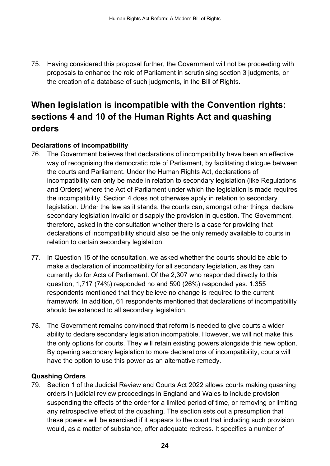75. Having considered this proposal further, the Government will not be proceeding with proposals to enhance the role of Parliament in scrutinising section 3 judgments, or the creation of a database of such judgments, in the Bill of Rights.

### <span id="page-26-0"></span>**When legislation is incompatible with the Convention rights: sections 4 and 10 of the Human Rights Act and quashing orders**

#### **Declarations of incompatibility**

- 76. The Government believes that declarations of incompatibility have been an effective way of recognising the democratic role of Parliament, by facilitating dialogue between the courts and Parliament. Under the Human Rights Act, declarations of incompatibility can only be made in relation to secondary legislation (like Regulations and Orders) where the Act of Parliament under which the legislation is made requires the incompatibility. Section 4 does not otherwise apply in relation to secondary legislation. Under the law as it stands, the courts can, amongst other things, declare secondary legislation invalid or disapply the provision in question. The Government, therefore, asked in the consultation whether there is a case for providing that declarations of incompatibility should also be the only remedy available to courts in relation to certain secondary legislation.
- 77. In Question 15 of the consultation, we asked whether the courts should be able to make a declaration of incompatibility for all secondary legislation, as they can currently do for Acts of Parliament. Of the 2,307 who responded directly to this question, 1,717 (74%) responded no and 590 (26%) responded yes. 1,355 respondents mentioned that they believe no change is required to the current framework. In addition, 61 respondents mentioned that declarations of incompatibility should be extended to all secondary legislation.
- 78. The Government remains convinced that reform is needed to give courts a wider ability to declare secondary legislation incompatible. However, we will not make this the only options for courts. They will retain existing powers alongside this new option. By opening secondary legislation to more declarations of incompatibility, courts will have the option to use this power as an alternative remedy.

#### **Quashing Orders**

79. Section 1 of the Judicial Review and Courts Act 2022 allows courts making quashing orders in judicial review proceedings in England and Wales to include provision suspending the effects of the order for a limited period of time, or removing or limiting any retrospective effect of the quashing. The section sets out a presumption that these powers will be exercised if it appears to the court that including such provision would, as a matter of substance, offer adequate redress. It specifies a number of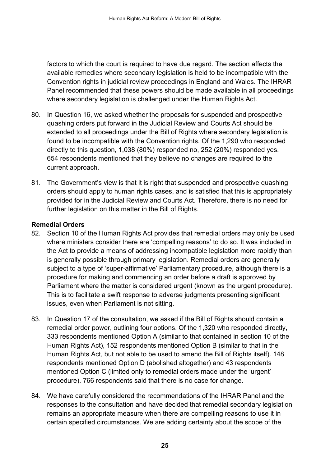factors to which the court is required to have due regard. The section affects the available remedies where secondary legislation is held to be incompatible with the Convention rights in judicial review proceedings in England and Wales. The IHRAR Panel recommended that these powers should be made available in all proceedings where secondary legislation is challenged under the Human Rights Act.

- 80. In Question 16, we asked whether the proposals for suspended and prospective quashing orders put forward in the Judicial Review and Courts Act should be extended to all proceedings under the Bill of Rights where secondary legislation is found to be incompatible with the Convention rights. Of the 1,290 who responded directly to this question, 1,038 (80%) responded no, 252 (20%) responded yes. 654 respondents mentioned that they believe no changes are required to the current approach.
- 81. The Government's view is that it is right that suspended and prospective quashing orders should apply to human rights cases, and is satisfied that this is appropriately provided for in the Judicial Review and Courts Act. Therefore, there is no need for further legislation on this matter in the Bill of Rights.

#### **Remedial Orders**

- 82. Section 10 of the Human Rights Act provides that remedial orders may only be used where ministers consider there are 'compelling reasons' to do so. It was included in the Act to provide a means of addressing incompatible legislation more rapidly than is generally possible through primary legislation. Remedial orders are generally subject to a type of 'super-affirmative' Parliamentary procedure, although there is a procedure for making and commencing an order before a draft is approved by Parliament where the matter is considered urgent (known as the urgent procedure). This is to facilitate a swift response to adverse judgments presenting significant issues, even when Parliament is not sitting.
- 83. In Question 17 of the consultation, we asked if the Bill of Rights should contain a remedial order power, outlining four options. Of the 1,320 who responded directly, 333 respondents mentioned Option A (similar to that contained in section 10 of the Human Rights Act), 152 respondents mentioned Option B (similar to that in the Human Rights Act, but not able to be used to amend the Bill of Rights itself). 148 respondents mentioned Option D (abolished altogether) and 43 respondents mentioned Option C (limited only to remedial orders made under the 'urgent' procedure). 766 respondents said that there is no case for change.
- 84. We have carefully considered the recommendations of the IHRAR Panel and the responses to the consultation and have decided that remedial secondary legislation remains an appropriate measure when there are compelling reasons to use it in certain specified circumstances. We are adding certainty about the scope of the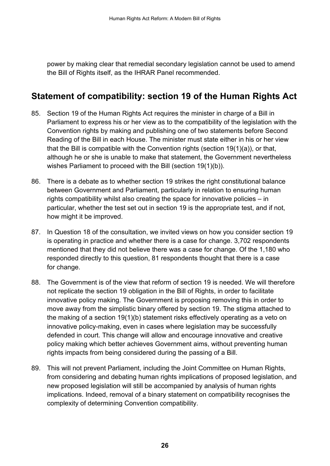power by making clear that remedial secondary legislation cannot be used to amend the Bill of Rights itself, as the IHRAR Panel recommended.

#### <span id="page-28-0"></span>**Statement of compatibility: section 19 of the Human Rights Act**

- 85. Section 19 of the Human Rights Act requires the minister in charge of a Bill in Parliament to express his or her view as to the compatibility of the legislation with the Convention rights by making and publishing one of two statements before Second Reading of the Bill in each House. The minister must state either in his or her view that the Bill is compatible with the Convention rights (section 19(1)(a)), or that, although he or she is unable to make that statement, the Government nevertheless wishes Parliament to proceed with the Bill (section 19(1)(b)).
- 86. There is a debate as to whether section 19 strikes the right constitutional balance between Government and Parliament, particularly in relation to ensuring human rights compatibility whilst also creating the space for innovative policies – in particular, whether the test set out in section 19 is the appropriate test, and if not, how might it be improved.
- 87. In Question 18 of the consultation, we invited views on how you consider section 19 is operating in practice and whether there is a case for change. 3,702 respondents mentioned that they did not believe there was a case for change. Of the 1,180 who responded directly to this question, 81 respondents thought that there is a case for change.
- 88. The Government is of the view that reform of section 19 is needed. We will therefore not replicate the section 19 obligation in the Bill of Rights, in order to facilitate innovative policy making. The Government is proposing removing this in order to move away from the simplistic binary offered by section 19. The stigma attached to the making of a section 19(1)(b) statement risks effectively operating as a veto on innovative policy-making, even in cases where legislation may be successfully defended in court. This change will allow and encourage innovative and creative policy making which better achieves Government aims, without preventing human rights impacts from being considered during the passing of a Bill.
- 89. This will not prevent Parliament, including the Joint Committee on Human Rights, from considering and debating human rights implications of proposed legislation, and new proposed legislation will still be accompanied by analysis of human rights implications. Indeed, removal of a binary statement on compatibility recognises the complexity of determining Convention compatibility.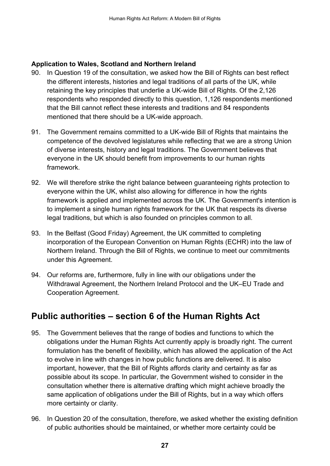#### **Application to Wales, Scotland and Northern Ireland**

- 90. In Question 19 of the consultation, we asked how the Bill of Rights can best reflect the different interests, histories and legal traditions of all parts of the UK, while retaining the key principles that underlie a UK-wide Bill of Rights. Of the 2,126 respondents who responded directly to this question, 1,126 respondents mentioned that the Bill cannot reflect these interests and traditions and 84 respondents mentioned that there should be a UK-wide approach.
- 91. The Government remains committed to a UK-wide Bill of Rights that maintains the competence of the devolved legislatures while reflecting that we are a strong Union of diverse interests, history and legal traditions. The Government believes that everyone in the UK should benefit from improvements to our human rights framework.
- 92. We will therefore strike the right balance between guaranteeing rights protection to everyone within the UK, whilst also allowing for difference in how the rights framework is applied and implemented across the UK. The Government's intention is to implement a single human rights framework for the UK that respects its diverse legal traditions, but which is also founded on principles common to all.
- 93. In the Belfast (Good Friday) Agreement, the UK committed to completing incorporation of the European Convention on Human Rights (ECHR) into the law of Northern Ireland. Through the Bill of Rights, we continue to meet our commitments under this Agreement.
- 94. Our reforms are, furthermore, fully in line with our obligations under the Withdrawal Agreement, the Northern Ireland Protocol and the UK–EU Trade and Cooperation Agreement.

### <span id="page-29-0"></span>**Public authorities – section 6 of the Human Rights Act**

- 95. The Government believes that the range of bodies and functions to which the obligations under the Human Rights Act currently apply is broadly right. The current formulation has the benefit of flexibility, which has allowed the application of the Act to evolve in line with changes in how public functions are delivered. It is also important, however, that the Bill of Rights affords clarity and certainty as far as possible about its scope. In particular, the Government wished to consider in the consultation whether there is alternative drafting which might achieve broadly the same application of obligations under the Bill of Rights, but in a way which offers more certainty or clarity.
- 96. In Question 20 of the consultation, therefore, we asked whether the existing definition of public authorities should be maintained, or whether more certainty could be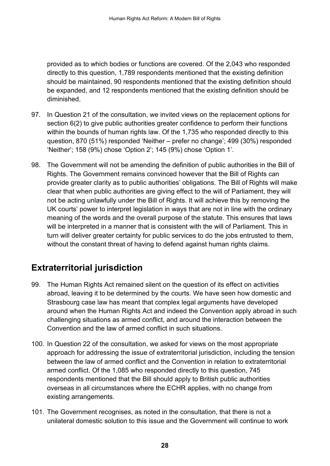provided as to which bodies or functions are covered. Of the 2,043 who responded directly to this question, 1,789 respondents mentioned that the existing definition should be maintained, 90 respondents mentioned that the existing definition should be expanded, and 12 respondents mentioned that the existing definition should be diminished.

- 97. In Question 21 of the consultation, we invited views on the replacement options for section 6(2) to give public authorities greater confidence to perform their functions within the bounds of human rights law. Of the 1,735 who responded directly to this question, 870 (51%) responded 'Neither – prefer no change'; 499 (30%) responded 'Neither'; 158 (9%) chose 'Option 2'; 145 (9%) chose 'Option 1'.
- 98. The Government will not be amending the definition of public authorities in the Bill of Rights. The Government remains convinced however that the Bill of Rights can provide greater clarity as to public authorities' obligations. The Bill of Rights will make clear that when public authorities are giving effect to the will of Parliament, they will not be acting unlawfully under the Bill of Rights. It will achieve this by removing the UK courts' power to interpret legislation in ways that are not in line with the ordinary meaning of the words and the overall purpose of the statute. This ensures that laws will be interpreted in a manner that is consistent with the will of Parliament. This in turn will deliver greater certainty for public services to do the jobs entrusted to them, without the constant threat of having to defend against human rights claims.

### <span id="page-30-0"></span>**Extraterritorial jurisdiction**

- 99. The Human Rights Act remained silent on the question of its effect on activities abroad, leaving it to be determined by the courts. We have seen how domestic and Strasbourg case law has meant that complex legal arguments have developed around when the Human Rights Act and indeed the Convention apply abroad in such challenging situations as armed conflict, and around the interaction between the Convention and the law of armed conflict in such situations.
- 100. In Question 22 of the consultation, we asked for views on the most appropriate approach for addressing the issue of extraterritorial jurisdiction, including the tension between the law of armed conflict and the Convention in relation to extraterritorial armed conflict. Of the 1,085 who responded directly to this question, 745 respondents mentioned that the Bill should apply to British public authorities overseas in all circumstances where the ECHR applies, with no change from existing arrangements.
- 101. The Government recognises, as noted in the consultation, that there is not a unilateral domestic solution to this issue and the Government will continue to work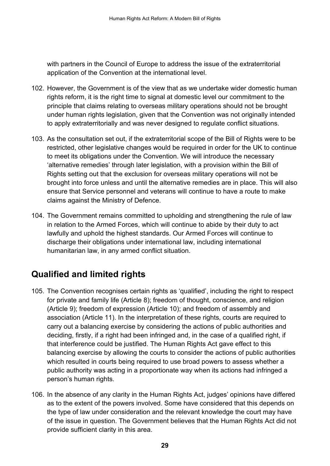with partners in the Council of Europe to address the issue of the extraterritorial application of the Convention at the international level.

- 102. However, the Government is of the view that as we undertake wider domestic human rights reform, it is the right time to signal at domestic level our commitment to the principle that claims relating to overseas military operations should not be brought under human rights legislation, given that the Convention was not originally intended to apply extraterritorially and was never designed to regulate conflict situations.
- 103. As the consultation set out, if the extraterritorial scope of the Bill of Rights were to be restricted, other legislative changes would be required in order for the UK to continue to meet its obligations under the Convention. We will introduce the necessary 'alternative remedies' through later legislation, with a provision within the Bill of Rights setting out that the exclusion for overseas military operations will not be brought into force unless and until the alternative remedies are in place. This will also ensure that Service personnel and veterans will continue to have a route to make claims against the Ministry of Defence.
- 104. The Government remains committed to upholding and strengthening the rule of law in relation to the Armed Forces, which will continue to abide by their duty to act lawfully and uphold the highest standards. Our Armed Forces will continue to discharge their obligations under international law, including international humanitarian law, in any armed conflict situation.

### <span id="page-31-0"></span>**Qualified and limited rights**

- 105. The Convention recognises certain rights as 'qualified', including the right to respect for private and family life (Article 8); freedom of thought, conscience, and religion (Article 9); freedom of expression (Article 10); and freedom of assembly and association (Article 11). In the interpretation of these rights, courts are required to carry out a balancing exercise by considering the actions of public authorities and deciding, firstly, if a right had been infringed and, in the case of a qualified right, if that interference could be justified. The Human Rights Act gave effect to this balancing exercise by allowing the courts to consider the actions of public authorities which resulted in courts being required to use broad powers to assess whether a public authority was acting in a proportionate way when its actions had infringed a person's human rights.
- 106. In the absence of any clarity in the Human Rights Act, judges' opinions have differed as to the extent of the powers involved. Some have considered that this depends on the type of law under consideration and the relevant knowledge the court may have of the issue in question. The Government believes that the Human Rights Act did not provide sufficient clarity in this area.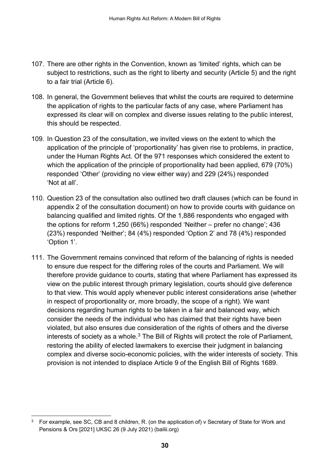- 107. There are other rights in the Convention, known as 'limited' rights, which can be subject to restrictions, such as the right to liberty and security (Article 5) and the right to a fair trial (Article 6).
- 108. In general, the Government believes that whilst the courts are required to determine the application of rights to the particular facts of any case, where Parliament has expressed its clear will on complex and diverse issues relating to the public interest, this should be respected.
- 109. In Question 23 of the consultation, we invited views on the extent to which the application of the principle of 'proportionality' has given rise to problems, in practice, under the Human Rights Act. Of the 971 responses which considered the extent to which the application of the principle of proportionality had been applied, 679 (70%) responded 'Other' (providing no view either way) and 229 (24%) responded 'Not at all'.
- 110. Question 23 of the consultation also outlined two draft clauses (which can be found in appendix 2 of the consultation document) on how to provide courts with guidance on balancing qualified and limited rights. Of the 1,886 respondents who engaged with the options for reform 1,250 (66%) responded 'Neither – prefer no change'; 436 (23%) responded 'Neither'; 84 (4%) responded 'Option 2' and 78 (4%) responded 'Option 1'.
- 111. The Government remains convinced that reform of the balancing of rights is needed to ensure due respect for the differing roles of the courts and Parliament. We will therefore provide guidance to courts, stating that where Parliament has expressed its view on the public interest through primary legislation, courts should give deference to that view. This would apply whenever public interest considerations arise (whether in respect of proportionality or, more broadly, the scope of a right). We want decisions regarding human rights to be taken in a fair and balanced way, which consider the needs of the individual who has claimed that their rights have been violated, but also ensures due consideration of the rights of others and the diverse interests of society as a whole. $3$  The Bill of Rights will protect the role of Parliament, restoring the ability of elected lawmakers to exercise their judgment in balancing complex and diverse socio-economic policies, with the wider interests of society. This provision is not intended to displace Article 9 of the English Bill of Rights 1689.

<span id="page-32-0"></span>For example, see SC, CB and 8 children, R. (on the application of) v Secretary of State for Work and [Pensions & Ors \[2021\] UKSC 26 \(9 July 2021\) \(bailii.org\)](https://www.bailii.org/uk/cases/UKSC/2021/26.html)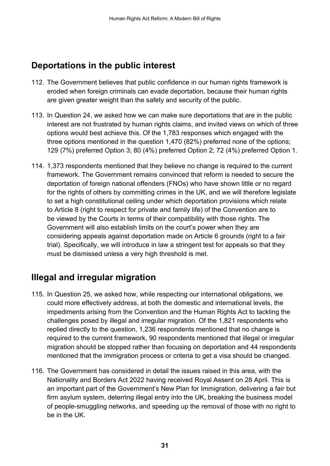### <span id="page-33-0"></span>**Deportations in the public interest**

- 112. The Government believes that public confidence in our human rights framework is eroded when foreign criminals can evade deportation, because their human rights are given greater weight than the safety and security of the public.
- 113. In Question 24, we asked how we can make sure deportations that are in the public interest are not frustrated by human rights claims, and invited views on which of three options would best achieve this. Of the 1,783 responses which engaged with the three options mentioned in the question 1,470 (82%) preferred none of the options; 129 (7%) preferred Option 3; 80 (4%) preferred Option 2; 72 (4%) preferred Option 1.
- 114. 1,373 respondents mentioned that they believe no change is required to the current framework. The Government remains convinced that reform is needed to secure the deportation of foreign national offenders (FNOs) who have shown little or no regard for the rights of others by committing crimes in the UK, and we will therefore legislate to set a high constitutional ceiling under which deportation provisions which relate to Article 8 (right to respect for private and family life) of the Convention are to be viewed by the Courts in terms of their compatibility with those rights. The Government will also establish limits on the court's power when they are considering appeals against deportation made on Article 6 grounds (right to a fair trial). Specifically, we will introduce in law a stringent test for appeals so that they must be dismissed unless a very high threshold is met.

### <span id="page-33-1"></span>**Illegal and irregular migration**

- 115. In Question 25, we asked how, while respecting our international obligations, we could more effectively address, at both the domestic and international levels, the impediments arising from the Convention and the Human Rights Act to tackling the challenges posed by illegal and irregular migration. Of the 1,821 respondents who replied directly to the question, 1,236 respondents mentioned that no change is required to the current framework, 90 respondents mentioned that illegal or irregular migration should be stopped rather than focusing on deportation and 44 respondents mentioned that the immigration process or criteria to get a visa should be changed.
- 116. The Government has considered in detail the issues raised in this area, with the Nationality and Borders Act 2022 having received Royal Assent on 28 April. This is an important part of the Government's New Plan for Immigration, delivering a fair but firm asylum system, deterring illegal entry into the UK, breaking the business model of people-smuggling networks, and speeding up the removal of those with no right to be in the UK.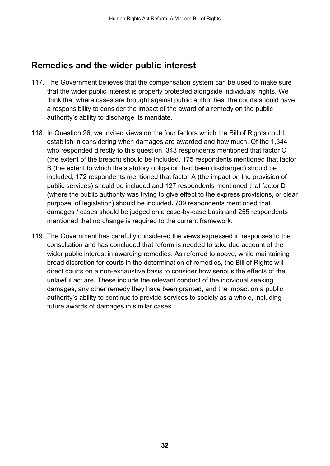### <span id="page-34-0"></span>**Remedies and the wider public interest**

- 117. The Government believes that the compensation system can be used to make sure that the wider public interest is properly protected alongside individuals' rights. We think that where cases are brought against public authorities, the courts should have a responsibility to consider the impact of the award of a remedy on the public authority's ability to discharge its mandate.
- 118. In Question 26, we invited views on the four factors which the Bill of Rights could establish in considering when damages are awarded and how much. Of the 1,344 who responded directly to this question, 343 respondents mentioned that factor C (the extent of the breach) should be included, 175 respondents mentioned that factor B (the extent to which the statutory obligation had been discharged) should be included, 172 respondents mentioned that factor A (the impact on the provision of public services) should be included and 127 respondents mentioned that factor D (where the public authority was trying to give effect to the express provisions, or clear purpose, of legislation) should be included**.** 709 respondents mentioned that damages / cases should be judged on a case-by-case basis and 255 respondents mentioned that no change is required to the current framework.
- 119. The Government has carefully considered the views expressed in responses to the consultation and has concluded that reform is needed to take due account of the wider public interest in awarding remedies. As referred to above, while maintaining broad discretion for courts in the determination of remedies, the Bill of Rights will direct courts on a non-exhaustive basis to consider how serious the effects of the unlawful act are. These include the relevant conduct of the individual seeking damages, any other remedy they have been granted, and the impact on a public authority's ability to continue to provide services to society as a whole, including future awards of damages in similar cases.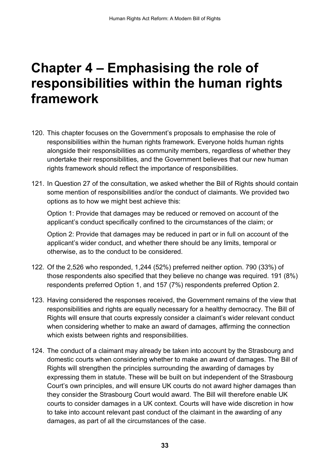### <span id="page-35-0"></span>**Chapter 4 – Emphasising the role of responsibilities within the human rights framework**

- 120. This chapter focuses on the Government's proposals to emphasise the role of responsibilities within the human rights framework. Everyone holds human rights alongside their responsibilities as community members, regardless of whether they undertake their responsibilities, and the Government believes that our new human rights framework should reflect the importance of responsibilities.
- 121. In Question 27 of the consultation, we asked whether the Bill of Rights should contain some mention of responsibilities and/or the conduct of claimants. We provided two options as to how we might best achieve this:

Option 1: Provide that damages may be reduced or removed on account of the applicant's conduct specifically confined to the circumstances of the claim; or

Option 2: Provide that damages may be reduced in part or in full on account of the applicant's wider conduct, and whether there should be any limits, temporal or otherwise, as to the conduct to be considered.

- 122. Of the 2,526 who responded, 1,244 (52%) preferred neither option. 790 (33%) of those respondents also specified that they believe no change was required. 191 (8%) respondents preferred Option 1, and 157 (7%) respondents preferred Option 2.
- 123. Having considered the responses received, the Government remains of the view that responsibilities and rights are equally necessary for a healthy democracy. The Bill of Rights will ensure that courts expressly consider a claimant's wider relevant conduct when considering whether to make an award of damages, affirming the connection which exists between rights and responsibilities.
- 124. The conduct of a claimant may already be taken into account by the Strasbourg and domestic courts when considering whether to make an award of damages. The Bill of Rights will strengthen the principles surrounding the awarding of damages by expressing them in statute. These will be built on but independent of the Strasbourg Court's own principles, and will ensure UK courts do not award higher damages than they consider the Strasbourg Court would award. The Bill will therefore enable UK courts to consider damages in a UK context. Courts will have wide discretion in how to take into account relevant past conduct of the claimant in the awarding of any damages, as part of all the circumstances of the case.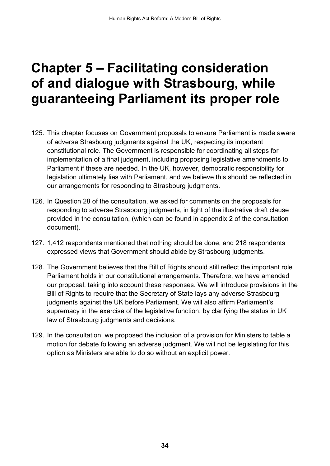## <span id="page-36-0"></span>**Chapter 5 – Facilitating consideration of and dialogue with Strasbourg, while guaranteeing Parliament its proper role**

- 125. This chapter focuses on Government proposals to ensure Parliament is made aware of adverse Strasbourg judgments against the UK, respecting its important constitutional role. The Government is responsible for coordinating all steps for implementation of a final judgment, including proposing legislative amendments to Parliament if these are needed. In the UK, however, democratic responsibility for legislation ultimately lies with Parliament, and we believe this should be reflected in our arrangements for responding to Strasbourg judgments.
- 126. In Question 28 of the consultation, we asked for comments on the proposals for responding to adverse Strasbourg judgments, in light of the illustrative draft clause provided in the consultation, (which can be found in appendix 2 of the consultation document).
- 127. 1,412 respondents mentioned that nothing should be done, and 218 respondents expressed views that Government should abide by Strasbourg judgments.
- 128. The Government believes that the Bill of Rights should still reflect the important role Parliament holds in our constitutional arrangements. Therefore, we have amended our proposal, taking into account these responses. We will introduce provisions in the Bill of Rights to require that the Secretary of State lays any adverse Strasbourg judgments against the UK before Parliament. We will also affirm Parliament's supremacy in the exercise of the legislative function, by clarifying the status in UK law of Strasbourg judgments and decisions.
- 129. In the consultation, we proposed the inclusion of a provision for Ministers to table a motion for debate following an adverse judgment. We will not be legislating for this option as Ministers are able to do so without an explicit power.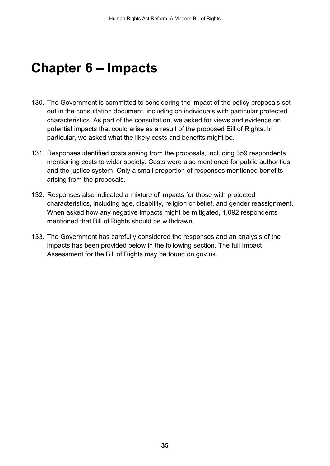## <span id="page-37-0"></span>**Chapter 6 – Impacts**

- 130. The Government is committed to considering the impact of the policy proposals set out in the consultation document, including on individuals with particular protected characteristics. As part of the consultation, we asked for views and evidence on potential impacts that could arise as a result of the proposed Bill of Rights. In particular, we asked what the likely costs and benefits might be.
- 131. Responses identified costs arising from the proposals, including 359 respondents mentioning costs to wider society. Costs were also mentioned for public authorities and the justice system. Only a small proportion of responses mentioned benefits arising from the proposals.
- 132. Responses also indicated a mixture of impacts for those with protected characteristics, including age, disability, religion or belief, and gender reassignment. When asked how any negative impacts might be mitigated, 1,092 respondents mentioned that Bill of Rights should be withdrawn.
- 133. The Government has carefully considered the responses and an analysis of the impacts has been provided below in the following section. The full Impact Assessment for the Bill of Rights may be found on gov.uk.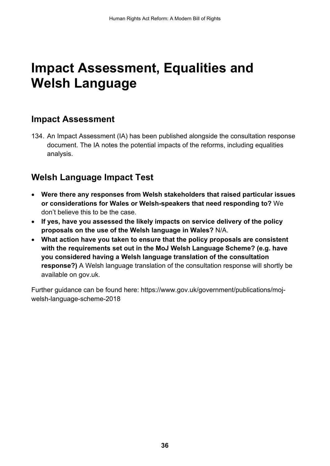## <span id="page-38-0"></span>**Impact Assessment, Equalities and Welsh Language**

#### <span id="page-38-1"></span>**Impact Assessment**

134. An Impact Assessment (IA) has been published alongside the consultation response document. The IA notes the potential impacts of the reforms, including equalities analysis.

#### <span id="page-38-2"></span>**Welsh Language Impact Test**

- **Were there any responses from Welsh stakeholders that raised particular issues or considerations for Wales or Welsh-speakers that need responding to?** We don't believe this to be the case.
- **If yes, have you assessed the likely impacts on service delivery of the policy proposals on the use of the Welsh language in Wales?** N/A.
- **What action have you taken to ensure that the policy proposals are consistent with the requirements set out in the MoJ Welsh Language Scheme? (e.g. have you considered having a Welsh language translation of the consultation response?)** A Welsh language translation of the consultation response will shortly be available on gov.uk.

Further guidance can be found here: [https://www.gov.uk/government/publications/moj](https://www.gov.uk/government/publications/moj-welsh-language-scheme-2018)[welsh-language-scheme-2018](https://www.gov.uk/government/publications/moj-welsh-language-scheme-2018)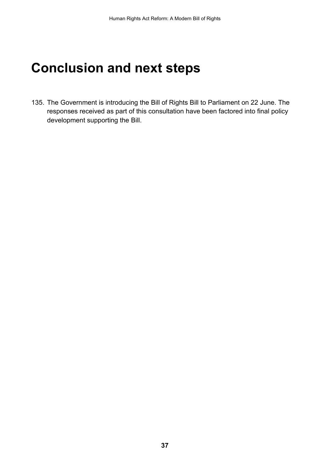## <span id="page-39-0"></span>**Conclusion and next steps**

135. The Government is introducing the Bill of Rights Bill to Parliament on 22 June. The responses received as part of this consultation have been factored into final policy development supporting the Bill.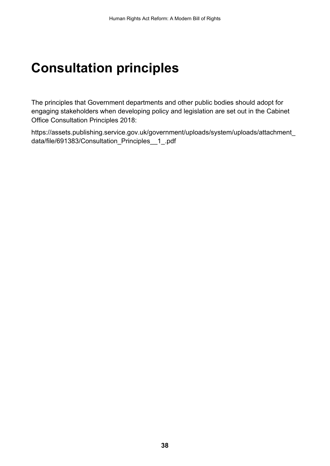## <span id="page-40-0"></span>**Consultation principles**

The principles that Government departments and other public bodies should adopt for engaging stakeholders when developing policy and legislation are set out in the Cabinet Office Consultation Principles 2018:

[https://assets.publishing.service.gov.uk/government/uploads/system/uploads/attachment\\_](https://assets.publishing.service.gov.uk/government/uploads/system/uploads/attachment_data/file/691383/Consultation_Principles__1_.pdf) [data/file/691383/Consultation\\_Principles\\_\\_1\\_.pdf](https://assets.publishing.service.gov.uk/government/uploads/system/uploads/attachment_data/file/691383/Consultation_Principles__1_.pdf)